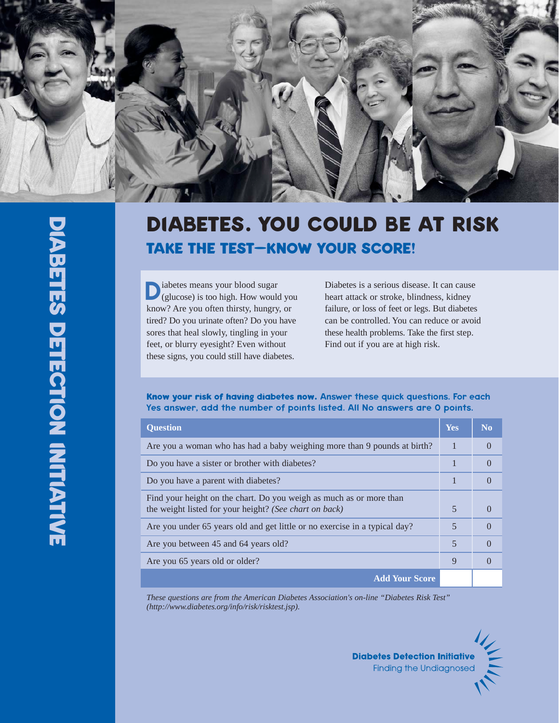

# **DlABETES. YOU COULD BE AT RlSK TAKE THE TEST—KNOW YOUR SCORE!**

**D**iabetes means your blood sugar<br>
(glucose) is too high. How would you<br>
league? Are you often thing burgare or know? Are you often thirsty, hungry, or tired? Do you urinate often? Do you have sores that heal slowly, tingling in your feet, or blurry eyesight? Even without these signs, you could still have diabetes.

Diabetes is a serious disease. It can cause heart attack or stroke, blindness, kidney failure, or loss of feet or legs. But diabetes can be controlled. You can reduce or avoid these health problems. Take the first step. Find out if you are at high risk.

#### **Know your risk of having diabetes now.** Answer these quick questions. For each Yes answer, add the number of points listed. All No answers are 0 points.

| <b>Ouestion</b>                                                                                                               | <b>Yes</b>               | <b>No</b> |
|-------------------------------------------------------------------------------------------------------------------------------|--------------------------|-----------|
| Are you a woman who has had a baby weighing more than 9 pounds at birth?                                                      |                          |           |
| Do you have a sister or brother with diabetes?                                                                                | 1                        |           |
| Do you have a parent with diabetes?                                                                                           | 1                        |           |
| Find your height on the chart. Do you weigh as much as or more than<br>the weight listed for your height? (See chart on back) | 5                        |           |
| Are you under 65 years old and get little or no exercise in a typical day?                                                    | 5                        |           |
| Are you between 45 and 64 years old?                                                                                          | $\overline{\mathcal{L}}$ |           |
| Are you 65 years old or older?                                                                                                | $\mathbf Q$              |           |
| <b>Add Your Score</b>                                                                                                         |                          |           |

*These questions are from the American Diabetes Association's on-line "Diabetes Risk Test" (http://www.diabetes.org/info/risk/risktest.jsp).* 

> **Diabetes Detection Initiative Finding the Undiagnosed**